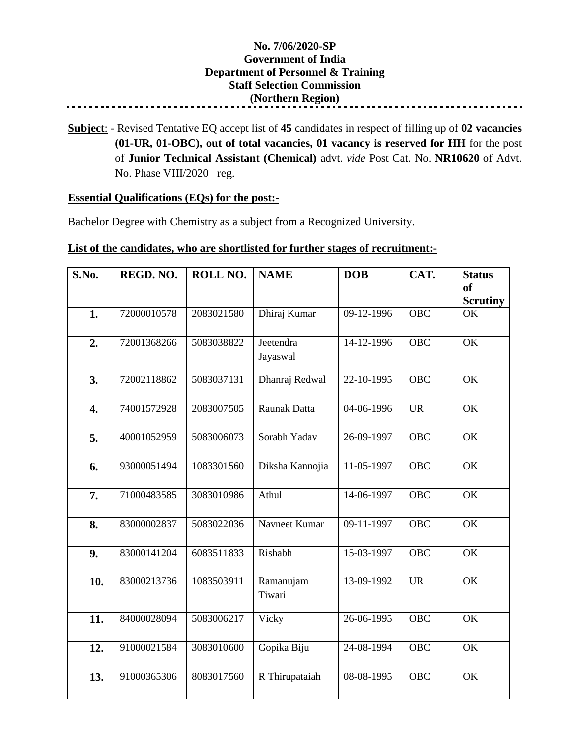## **No. 7/06/2020-SP Government of India Department of Personnel & Training Staff Selection Commission (Northern Region)**

**Subject**: - Revised Tentative EQ accept list of **45** candidates in respect of filling up of **02 vacancies (01-UR, 01-OBC), out of total vacancies, 01 vacancy is reserved for HH** for the post of **Junior Technical Assistant (Chemical)** advt. *vide* Post Cat. No. **NR10620** of Advt. No. Phase VIII/2020– reg.

## **Essential Qualifications (EQs) for the post:-**

Bachelor Degree with Chemistry as a subject from a Recognized University.

## **List of the candidates, who are shortlisted for further stages of recruitment:-**

| S.No.            | REGD. NO.   | ROLL NO.   | <b>NAME</b>           | <b>DOB</b>                  | CAT.             | <b>Status</b><br><sub>of</sub><br><b>Scrutiny</b> |
|------------------|-------------|------------|-----------------------|-----------------------------|------------------|---------------------------------------------------|
| 1.               | 72000010578 | 2083021580 | Dhiraj Kumar          | 09-12-1996                  | <b>OBC</b>       | OK                                                |
| 2.               | 72001368266 | 5083038822 | Jeetendra<br>Jayaswal | 14-12-1996                  | <b>OBC</b>       | OK                                                |
| 3.               | 72002118862 | 5083037131 | Dhanraj Redwal        | 22-10-1995                  | $\overline{OBC}$ | $\overline{\text{OK}}$                            |
| $\overline{4}$ . | 74001572928 | 2083007505 | Raunak Datta          | 04-06-1996                  | <b>UR</b>        | OK                                                |
| 5.               | 40001052959 | 5083006073 | Sorabh Yadav          | 26-09-1997                  | <b>OBC</b>       | OK                                                |
| 6.               | 93000051494 | 1083301560 | Diksha Kannojia       | 11-05-1997                  | <b>OBC</b>       | OK                                                |
| 7.               | 71000483585 | 3083010986 | Athul                 | 14-06-1997                  | <b>OBC</b>       | OK                                                |
| 8.               | 83000002837 | 5083022036 | Navneet Kumar         | $\overline{0}9 - 11 - 1997$ | <b>OBC</b>       | OK                                                |
| 9.               | 83000141204 | 6083511833 | Rishabh               | 15-03-1997                  | <b>OBC</b>       | OK                                                |
| 10.              | 83000213736 | 1083503911 | Ramanujam<br>Tiwari   | 13-09-1992                  | <b>UR</b>        | $\overline{\text{OK}}$                            |
| 11.              | 84000028094 | 5083006217 | Vicky                 | 26-06-1995                  | <b>OBC</b>       | $\overline{\text{OK}}$                            |
| 12.              | 91000021584 | 3083010600 | Gopika Biju           | 24-08-1994                  | <b>OBC</b>       | OK                                                |
| 13.              | 91000365306 | 8083017560 | R Thirupataiah        | 08-08-1995                  | <b>OBC</b>       | OK                                                |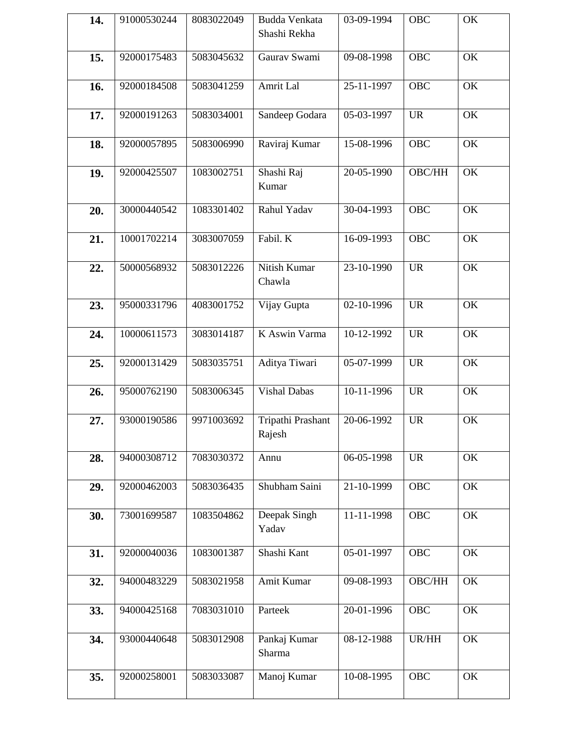| 14. | 91000530244 | 8083022049 | Budda Venkata<br>Shashi Rekha | 03-09-1994 | OBC        | OK |
|-----|-------------|------------|-------------------------------|------------|------------|----|
| 15. | 92000175483 | 5083045632 | Gaurav Swami                  | 09-08-1998 | <b>OBC</b> | OK |
| 16. | 92000184508 | 5083041259 | Amrit Lal                     | 25-11-1997 | <b>OBC</b> | OK |
| 17. | 92000191263 | 5083034001 | Sandeep Godara                | 05-03-1997 | <b>UR</b>  | OK |
| 18. | 92000057895 | 5083006990 | Raviraj Kumar                 | 15-08-1996 | <b>OBC</b> | OK |
| 19. | 92000425507 | 1083002751 | Shashi Raj<br>Kumar           | 20-05-1990 | OBC/HH     | OK |
| 20. | 30000440542 | 1083301402 | Rahul Yadav                   | 30-04-1993 | <b>OBC</b> | OK |
| 21. | 10001702214 | 3083007059 | Fabil. K                      | 16-09-1993 | <b>OBC</b> | OK |
| 22. | 50000568932 | 5083012226 | Nitish Kumar<br>Chawla        | 23-10-1990 | <b>UR</b>  | OK |
| 23. | 95000331796 | 4083001752 | Vijay Gupta                   | 02-10-1996 | <b>UR</b>  | OK |
| 24. | 10000611573 | 3083014187 | K Aswin Varma                 | 10-12-1992 | <b>UR</b>  | OK |
| 25. | 92000131429 | 5083035751 | Aditya Tiwari                 | 05-07-1999 | <b>UR</b>  | OK |
| 26. | 95000762190 | 5083006345 | <b>Vishal Dabas</b>           | 10-11-1996 | <b>UR</b>  | OK |
| 27. | 93000190586 | 9971003692 | Tripathi Prashant<br>Rajesh   | 20-06-1992 | <b>UR</b>  | OK |
| 28. | 94000308712 | 7083030372 | Annu                          | 06-05-1998 | <b>UR</b>  | OK |
| 29. | 92000462003 | 5083036435 | Shubham Saini                 | 21-10-1999 | <b>OBC</b> | OK |
| 30. | 73001699587 | 1083504862 | Deepak Singh<br>Yadav         | 11-11-1998 | <b>OBC</b> | OK |
| 31. | 92000040036 | 1083001387 | Shashi Kant                   | 05-01-1997 | OBC        | OK |
| 32. | 94000483229 | 5083021958 | Amit Kumar                    | 09-08-1993 | OBC/HH     | OK |
| 33. | 94000425168 | 7083031010 | Parteek                       | 20-01-1996 | <b>OBC</b> | OK |
| 34. | 93000440648 | 5083012908 | Pankaj Kumar<br>Sharma        | 08-12-1988 | UR/HH      | OK |
| 35. | 92000258001 | 5083033087 | Manoj Kumar                   | 10-08-1995 | <b>OBC</b> | OK |